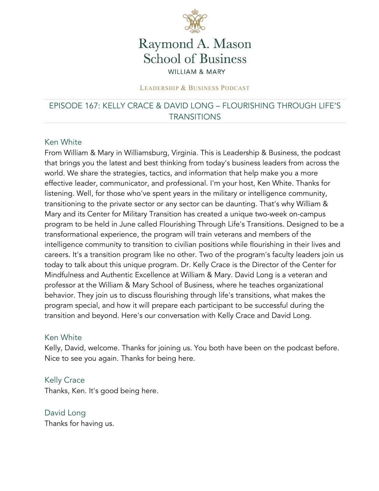

# Raymond A. Mason **School of Business WILLIAM & MARY**

#### LEADERSHIP & BUSINESS PODCAST

# EPISODE 167: KELLY CRACE & DAVID LONG – FLOURISHING THROUGH LIFE'S **TRANSITIONS**

#### Ken White

From William & Mary in Williamsburg, Virginia. This is Leadership & Business, the podcast that brings you the latest and best thinking from today's business leaders from across the world. We share the strategies, tactics, and information that help make you a more effective leader, communicator, and professional. I'm your host, Ken White. Thanks for listening. Well, for those who've spent years in the military or intelligence community, transitioning to the private sector or any sector can be daunting. That's why William & Mary and its Center for Military Transition has created a unique two-week on-campus program to be held in June called Flourishing Through Life's Transitions. Designed to be a transformational experience, the program will train veterans and members of the intelligence community to transition to civilian positions while flourishing in their lives and careers. It's a transition program like no other. Two of the program's faculty leaders join us today to talk about this unique program. Dr. Kelly Crace is the Director of the Center for Mindfulness and Authentic Excellence at William & Mary. David Long is a veteran and professor at the William & Mary School of Business, where he teaches organizational behavior. They join us to discuss flourishing through life's transitions, what makes the program special, and how it will prepare each participant to be successful during the transition and beyond. Here's our conversation with Kelly Crace and David Long.

#### Ken White

Kelly, David, welcome. Thanks for joining us. You both have been on the podcast before. Nice to see you again. Thanks for being here.

Kelly Crace Thanks, Ken. It's good being here.

David Long Thanks for having us.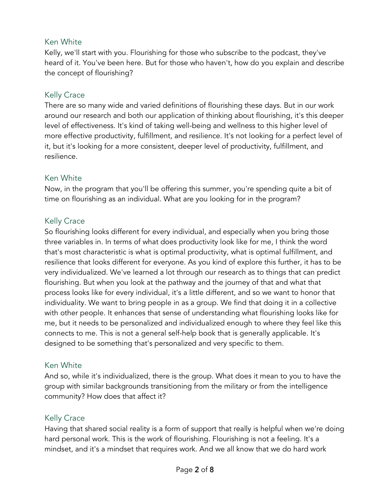### Ken White

Kelly, we'll start with you. Flourishing for those who subscribe to the podcast, they've heard of it. You've been here. But for those who haven't, how do you explain and describe the concept of flourishing?

# Kelly Crace

There are so many wide and varied definitions of flourishing these days. But in our work around our research and both our application of thinking about flourishing, it's this deeper level of effectiveness. It's kind of taking well-being and wellness to this higher level of more effective productivity, fulfillment, and resilience. It's not looking for a perfect level of it, but it's looking for a more consistent, deeper level of productivity, fulfillment, and resilience.

### Ken White

Now, in the program that you'll be offering this summer, you're spending quite a bit of time on flourishing as an individual. What are you looking for in the program?

# Kelly Crace

So flourishing looks different for every individual, and especially when you bring those three variables in. In terms of what does productivity look like for me, I think the word that's most characteristic is what is optimal productivity, what is optimal fulfillment, and resilience that looks different for everyone. As you kind of explore this further, it has to be very individualized. We've learned a lot through our research as to things that can predict flourishing. But when you look at the pathway and the journey of that and what that process looks like for every individual, it's a little different, and so we want to honor that individuality. We want to bring people in as a group. We find that doing it in a collective with other people. It enhances that sense of understanding what flourishing looks like for me, but it needs to be personalized and individualized enough to where they feel like this connects to me. This is not a general self-help book that is generally applicable. It's designed to be something that's personalized and very specific to them.

### Ken White

And so, while it's individualized, there is the group. What does it mean to you to have the group with similar backgrounds transitioning from the military or from the intelligence community? How does that affect it?

# Kelly Crace

Having that shared social reality is a form of support that really is helpful when we're doing hard personal work. This is the work of flourishing. Flourishing is not a feeling. It's a mindset, and it's a mindset that requires work. And we all know that we do hard work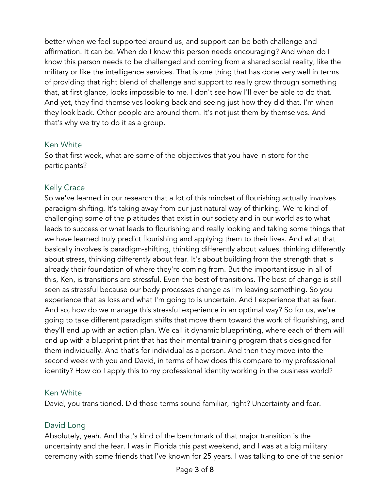better when we feel supported around us, and support can be both challenge and affirmation. It can be. When do I know this person needs encouraging? And when do I know this person needs to be challenged and coming from a shared social reality, like the military or like the intelligence services. That is one thing that has done very well in terms of providing that right blend of challenge and support to really grow through something that, at first glance, looks impossible to me. I don't see how I'll ever be able to do that. And yet, they find themselves looking back and seeing just how they did that. I'm when they look back. Other people are around them. It's not just them by themselves. And that's why we try to do it as a group.

#### Ken White

So that first week, what are some of the objectives that you have in store for the participants?

# Kelly Crace

So we've learned in our research that a lot of this mindset of flourishing actually involves paradigm-shifting. It's taking away from our just natural way of thinking. We're kind of challenging some of the platitudes that exist in our society and in our world as to what leads to success or what leads to flourishing and really looking and taking some things that we have learned truly predict flourishing and applying them to their lives. And what that basically involves is paradigm-shifting, thinking differently about values, thinking differently about stress, thinking differently about fear. It's about building from the strength that is already their foundation of where they're coming from. But the important issue in all of this, Ken, is transitions are stressful. Even the best of transitions. The best of change is still seen as stressful because our body processes change as I'm leaving something. So you experience that as loss and what I'm going to is uncertain. And I experience that as fear. And so, how do we manage this stressful experience in an optimal way? So for us, we're going to take different paradigm shifts that move them toward the work of flourishing, and they'll end up with an action plan. We call it dynamic blueprinting, where each of them will end up with a blueprint print that has their mental training program that's designed for them individually. And that's for individual as a person. And then they move into the second week with you and David, in terms of how does this compare to my professional identity? How do I apply this to my professional identity working in the business world?

### Ken White

David, you transitioned. Did those terms sound familiar, right? Uncertainty and fear.

### David Long

Absolutely, yeah. And that's kind of the benchmark of that major transition is the uncertainty and the fear. I was in Florida this past weekend, and I was at a big military ceremony with some friends that I've known for 25 years. I was talking to one of the senior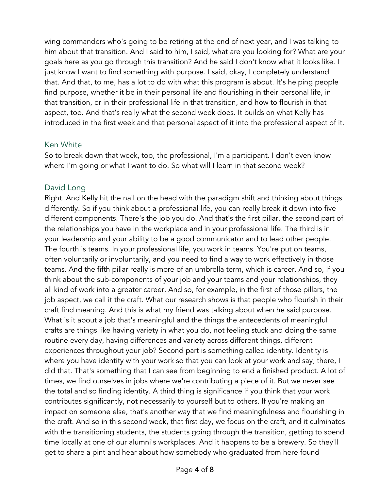wing commanders who's going to be retiring at the end of next year, and I was talking to him about that transition. And I said to him, I said, what are you looking for? What are your goals here as you go through this transition? And he said I don't know what it looks like. I just know I want to find something with purpose. I said, okay, I completely understand that. And that, to me, has a lot to do with what this program is about. It's helping people find purpose, whether it be in their personal life and flourishing in their personal life, in that transition, or in their professional life in that transition, and how to flourish in that aspect, too. And that's really what the second week does. It builds on what Kelly has introduced in the first week and that personal aspect of it into the professional aspect of it.

#### Ken White

So to break down that week, too, the professional, I'm a participant. I don't even know where I'm going or what I want to do. So what will I learn in that second week?

# David Long

Right. And Kelly hit the nail on the head with the paradigm shift and thinking about things differently. So if you think about a professional life, you can really break it down into five different components. There's the job you do. And that's the first pillar, the second part of the relationships you have in the workplace and in your professional life. The third is in your leadership and your ability to be a good communicator and to lead other people. The fourth is teams. In your professional life, you work in teams. You're put on teams, often voluntarily or involuntarily, and you need to find a way to work effectively in those teams. And the fifth pillar really is more of an umbrella term, which is career. And so, If you think about the sub-components of your job and your teams and your relationships, they all kind of work into a greater career. And so, for example, in the first of those pillars, the job aspect, we call it the craft. What our research shows is that people who flourish in their craft find meaning. And this is what my friend was talking about when he said purpose. What is it about a job that's meaningful and the things the antecedents of meaningful crafts are things like having variety in what you do, not feeling stuck and doing the same routine every day, having differences and variety across different things, different experiences throughout your job? Second part is something called identity. Identity is where you have identity with your work so that you can look at your work and say, there, I did that. That's something that I can see from beginning to end a finished product. A lot of times, we find ourselves in jobs where we're contributing a piece of it. But we never see the total and so finding identity. A third thing is significance if you think that your work contributes significantly, not necessarily to yourself but to others. If you're making an impact on someone else, that's another way that we find meaningfulness and flourishing in the craft. And so in this second week, that first day, we focus on the craft, and it culminates with the transitioning students, the students going through the transition, getting to spend time locally at one of our alumni's workplaces. And it happens to be a brewery. So they'll get to share a pint and hear about how somebody who graduated from here found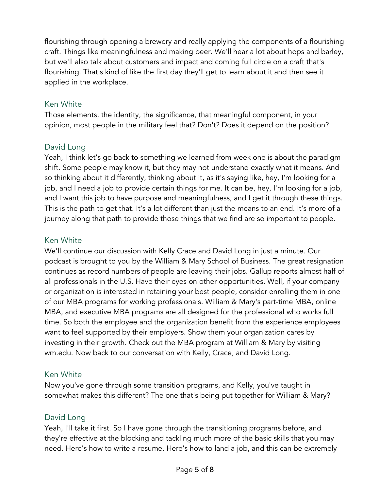flourishing through opening a brewery and really applying the components of a flourishing craft. Things like meaningfulness and making beer. We'll hear a lot about hops and barley, but we'll also talk about customers and impact and coming full circle on a craft that's flourishing. That's kind of like the first day they'll get to learn about it and then see it applied in the workplace.

#### Ken White

Those elements, the identity, the significance, that meaningful component, in your opinion, most people in the military feel that? Don't? Does it depend on the position?

# David Long

Yeah, I think let's go back to something we learned from week one is about the paradigm shift. Some people may know it, but they may not understand exactly what it means. And so thinking about it differently, thinking about it, as it's saying like, hey, I'm looking for a job, and I need a job to provide certain things for me. It can be, hey, I'm looking for a job, and I want this job to have purpose and meaningfulness, and I get it through these things. This is the path to get that. It's a lot different than just the means to an end. It's more of a journey along that path to provide those things that we find are so important to people.

### Ken White

We'll continue our discussion with Kelly Crace and David Long in just a minute. Our podcast is brought to you by the William & Mary School of Business. The great resignation continues as record numbers of people are leaving their jobs. Gallup reports almost half of all professionals in the U.S. Have their eyes on other opportunities. Well, if your company or organization is interested in retaining your best people, consider enrolling them in one of our MBA programs for working professionals. William & Mary's part-time MBA, online MBA, and executive MBA programs are all designed for the professional who works full time. So both the employee and the organization benefit from the experience employees want to feel supported by their employers. Show them your organization cares by investing in their growth. Check out the MBA program at William & Mary by visiting wm.edu. Now back to our conversation with Kelly, Crace, and David Long.

### Ken White

Now you've gone through some transition programs, and Kelly, you've taught in somewhat makes this different? The one that's being put together for William & Mary?

# David Long

Yeah, I'll take it first. So I have gone through the transitioning programs before, and they're effective at the blocking and tackling much more of the basic skills that you may need. Here's how to write a resume. Here's how to land a job, and this can be extremely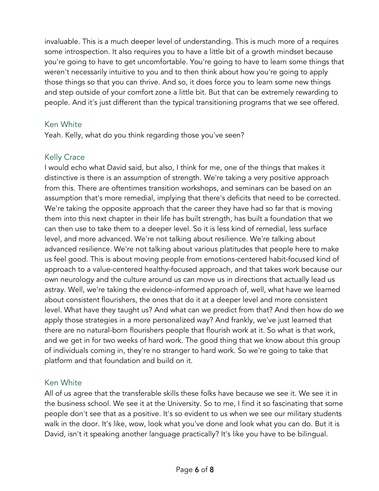invaluable. This is a much deeper level of understanding. This is much more of a requires some introspection. It also requires you to have a little bit of a growth mindset because you're going to have to get uncomfortable. You're going to have to learn some things that weren't necessarily intuitive to you and to then think about how you're going to apply those things so that you can thrive. And so, it does force you to learn some new things and step outside of your comfort zone a little bit. But that can be extremely rewarding to people. And it's just different than the typical transitioning programs that we see offered.

#### Ken White

Yeah. Kelly, what do you think regarding those you've seen?

# Kelly Crace

I would echo what David said, but also, I think for me, one of the things that makes it distinctive is there is an assumption of strength. We're taking a very positive approach from this. There are oftentimes transition workshops, and seminars can be based on an assumption that's more remedial, implying that there's deficits that need to be corrected. We're taking the opposite approach that the career they have had so far that is moving them into this next chapter in their life has built strength, has built a foundation that we can then use to take them to a deeper level. So it is less kind of remedial, less surface level, and more advanced. We're not talking about resilience. We're talking about advanced resilience. We're not talking about various platitudes that people here to make us feel good. This is about moving people from emotions-centered habit-focused kind of approach to a value-centered healthy-focused approach, and that takes work because our own neurology and the culture around us can move us in directions that actually lead us astray. Well, we're taking the evidence-informed approach of, well, what have we learned about consistent flourishers, the ones that do it at a deeper level and more consistent level. What have they taught us? And what can we predict from that? And then how do we apply those strategies in a more personalized way? And frankly, we've just learned that there are no natural-born flourishers people that flourish work at it. So what is that work, and we get in for two weeks of hard work. The good thing that we know about this group of individuals coming in, they're no stranger to hard work. So we're going to take that platform and that foundation and build on it.

### Ken White

All of us agree that the transferable skills these folks have because we see it. We see it in the business school. We see it at the University. So to me, I find it so fascinating that some people don't see that as a positive. It's so evident to us when we see our military students walk in the door. It's like, wow, look what you've done and look what you can do. But it is David, isn't it speaking another language practically? It's like you have to be bilingual.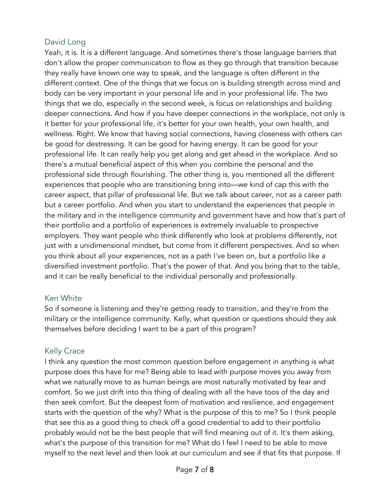# David Long

Yeah, it is. It is a different language. And sometimes there's those language barriers that don't allow the proper communication to flow as they go through that transition because they really have known one way to speak, and the language is often different in the different context. One of the things that we focus on is building strength across mind and body can be very important in your personal life and in your professional life. The two things that we do, especially in the second week, is focus on relationships and building deeper connections. And how if you have deeper connections in the workplace, not only is it better for your professional life, it's better for your own health, your own health, and wellness. Right. We know that having social connections, having closeness with others can be good for destressing. It can be good for having energy. It can be good for your professional life. It can really help you get along and get ahead in the workplace. And so there's a mutual beneficial aspect of this when you combine the personal and the professional side through flourishing. The other thing is, you mentioned all the different experiences that people who are transitioning bring into—we kind of cap this with the career aspect, that pillar of professional life. But we talk about career, not as a career path but a career portfolio. And when you start to understand the experiences that people in the military and in the intelligence community and government have and how that's part of their portfolio and a portfolio of experiences is extremely invaluable to prospective employers. They want people who think differently who look at problems differently, not just with a unidimensional mindset, but come from it different perspectives. And so when you think about all your experiences, not as a path I've been on, but a portfolio like a diversified investment portfolio. That's the power of that. And you bring that to the table, and it can be really beneficial to the individual personally and professionally.

#### Ken White

So if someone is listening and they're getting ready to transition, and they're from the military or the intelligence community. Kelly, what question or questions should they ask themselves before deciding I want to be a part of this program?

### Kelly Crace

I think any question the most common question before engagement in anything is what purpose does this have for me? Being able to lead with purpose moves you away from what we naturally move to as human beings are most naturally motivated by fear and comfort. So we just drift into this thing of dealing with all the have toos of the day and then seek comfort. But the deepest form of motivation and resilience, and engagement starts with the question of the why? What is the purpose of this to me? So I think people that see this as a good thing to check off a good credential to add to their portfolio probably would not be the best people that will find meaning out of it. It's them asking, what's the purpose of this transition for me? What do I feel I need to be able to move myself to the next level and then look at our curriculum and see if that fits that purpose. If